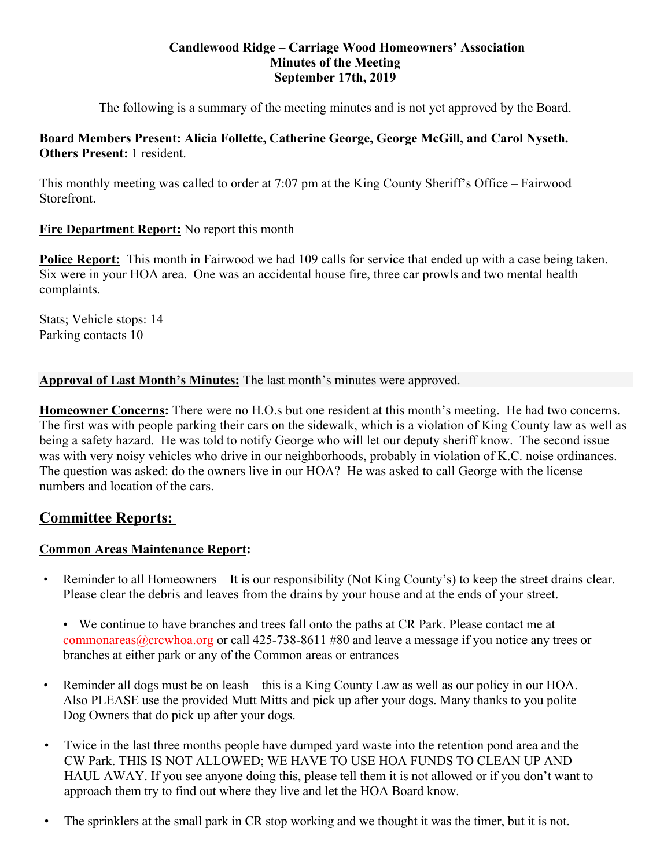### **Candlewood Ridge – Carriage Wood Homeowners' Association Minutes of the Meeting September 17th, 2019**

The following is a summary of the meeting minutes and is not yet approved by the Board.

# **Board Members Present: Alicia Follette, Catherine George, George McGill, and Carol Nyseth. Others Present:** 1 resident.

This monthly meeting was called to order at 7:07 pm at the King County Sheriff's Office – Fairwood Storefront.

# **Fire Department Report:** No report this month

**Police Report:** This month in Fairwood we had 109 calls for service that ended up with a case being taken. Six were in your HOA area. One was an accidental house fire, three car prowls and two mental health complaints.

Stats; Vehicle stops: 14 Parking contacts 10

**Approval of Last Month's Minutes:** The last month's minutes were approved.

**Homeowner Concerns:** There were no H.O.s but one resident at this month's meeting. He had two concerns. The first was with people parking their cars on the sidewalk, which is a violation of King County law as well as being a safety hazard. He was told to notify George who will let our deputy sheriff know. The second issue was with very noisy vehicles who drive in our neighborhoods, probably in violation of K.C. noise ordinances. The question was asked: do the owners live in our HOA? He was asked to call George with the license numbers and location of the cars.

# **Committee Reports:**

# **Common Areas Maintenance Report:**

- Reminder to all Homeowners It is our responsibility (Not King County's) to keep the street drains clear. Please clear the debris and leaves from the drains by your house and at the ends of your street.
	- We continue to have branches and trees fall onto the paths at CR Park. Please contact me at commonareas@crcwhoa.org or call 425-738-8611 #80 and leave a message if you notice any trees or branches at either park or any of the Common areas or entrances
- Reminder all dogs must be on leash this is a King County Law as well as our policy in our HOA. Also PLEASE use the provided Mutt Mitts and pick up after your dogs. Many thanks to you polite Dog Owners that do pick up after your dogs.
- Twice in the last three months people have dumped yard waste into the retention pond area and the CW Park. THIS IS NOT ALLOWED; WE HAVE TO USE HOA FUNDS TO CLEAN UP AND HAUL AWAY. If you see anyone doing this, please tell them it is not allowed or if you don't want to approach them try to find out where they live and let the HOA Board know.
- The sprinklers at the small park in CR stop working and we thought it was the timer, but it is not.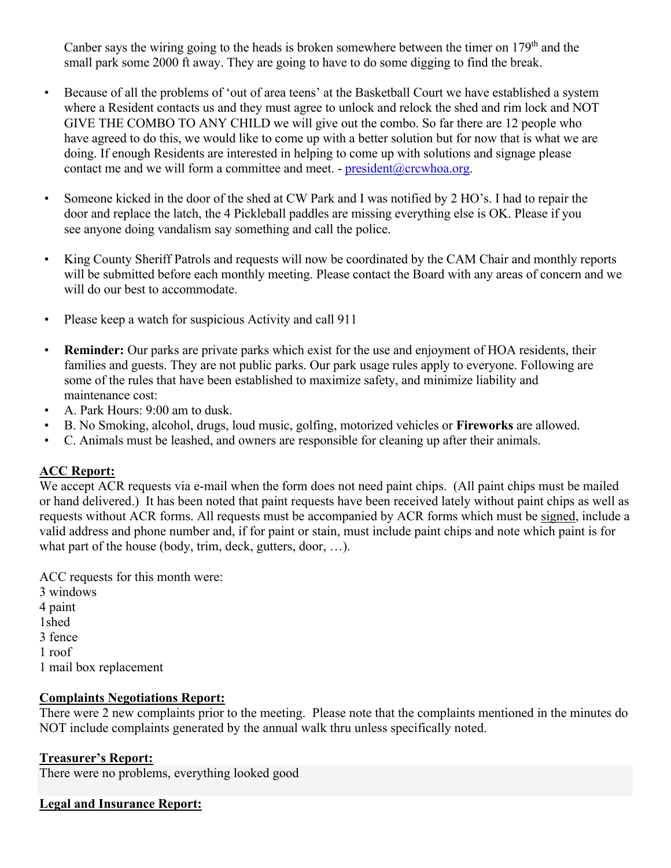Canber says the wiring going to the heads is broken somewhere between the timer on  $179<sup>th</sup>$  and the small park some 2000 ft away. They are going to have to do some digging to find the break.

- Because of all the problems of 'out of area teens' at the Basketball Court we have established a system where a Resident contacts us and they must agree to unlock and relock the shed and rim lock and NOT GIVE THE COMBO TO ANY CHILD we will give out the combo. So far there are 12 people who have agreed to do this, we would like to come up with a better solution but for now that is what we are doing. If enough Residents are interested in helping to come up with solutions and signage please contact me and we will form a committee and meet. -  $president@crcwhoa.org$ .
- Someone kicked in the door of the shed at CW Park and I was notified by 2 HO's. I had to repair the door and replace the latch, the 4 Pickleball paddles are missing everything else is OK. Please if you see anyone doing vandalism say something and call the police.
- King County Sheriff Patrols and requests will now be coordinated by the CAM Chair and monthly reports will be submitted before each monthly meeting. Please contact the Board with any areas of concern and we will do our best to accommodate.
- Please keep a watch for suspicious Activity and call 911
- **Reminder:** Our parks are private parks which exist for the use and enjoyment of HOA residents, their families and guests. They are not public parks. Our park usage rules apply to everyone. Following are some of the rules that have been established to maximize safety, and minimize liability and maintenance cost:
- A. Park Hours: 9:00 am to dusk.
- B. No Smoking, alcohol, drugs, loud music, golfing, motorized vehicles or **Fireworks** are allowed.
- C. Animals must be leashed, and owners are responsible for cleaning up after their animals.

# **ACC Report:**

We accept ACR requests via e-mail when the form does not need paint chips. (All paint chips must be mailed or hand delivered.) It has been noted that paint requests have been received lately without paint chips as well as requests without ACR forms. All requests must be accompanied by ACR forms which must be signed, include a valid address and phone number and, if for paint or stain, must include paint chips and note which paint is for what part of the house (body, trim, deck, gutters, door, …).

ACC requests for this month were: 3 windows

4 paint 1shed 3 fence 1 roof 1 mail box replacement

#### **Complaints Negotiations Report:**

There were 2 new complaints prior to the meeting. Please note that the complaints mentioned in the minutes do NOT include complaints generated by the annual walk thru unless specifically noted.

# **Treasurer's Report:**

There were no problems, everything looked good

# **Legal and Insurance Report:**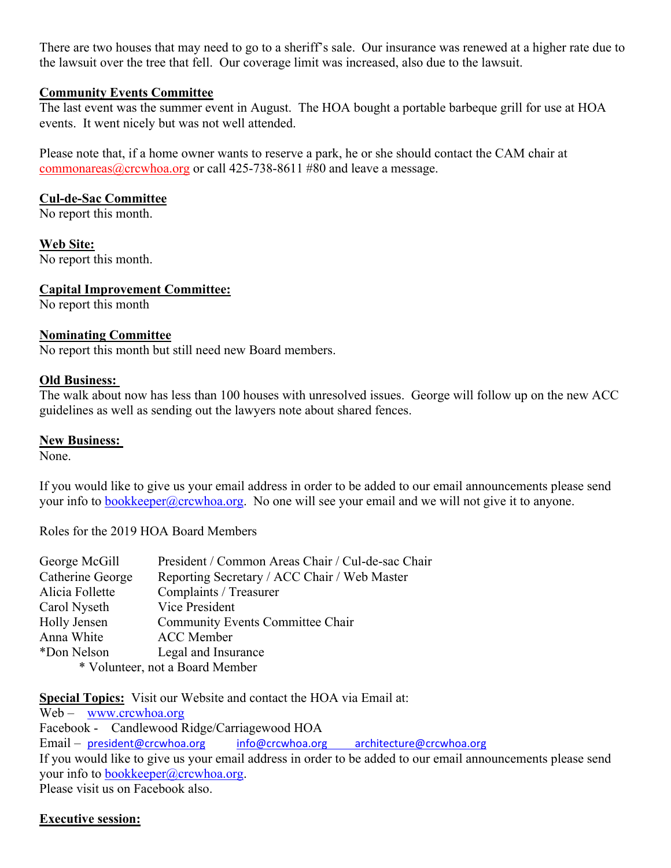There are two houses that may need to go to a sheriff's sale. Our insurance was renewed at a higher rate due to the lawsuit over the tree that fell. Our coverage limit was increased, also due to the lawsuit.

#### **Community Events Committee**

The last event was the summer event in August. The HOA bought a portable barbeque grill for use at HOA events. It went nicely but was not well attended.

Please note that, if a home owner wants to reserve a park, he or she should contact the CAM chair at commonareas@crcwhoa.org or call 425-738-8611 #80 and leave a message.

### **Cul-de-Sac Committee**

No report this month.

**Web Site:**  No report this month.

# **Capital Improvement Committee:**

No report this month

### **Nominating Committee**

No report this month but still need new Board members.

#### **Old Business:**

The walk about now has less than 100 houses with unresolved issues. George will follow up on the new ACC guidelines as well as sending out the lawyers note about shared fences.

#### **New Business:**

None.

If you would like to give us your email address in order to be added to our email announcements please send your info to bookkeeper@crcwhoa.org. No one will see your email and we will not give it to anyone.

Roles for the 2019 HOA Board Members

| George McGill    | President / Common Areas Chair / Cul-de-sac Chair |
|------------------|---------------------------------------------------|
| Catherine George | Reporting Secretary / ACC Chair / Web Master      |
| Alicia Follette  | Complaints / Treasurer                            |
| Carol Nyseth     | Vice President                                    |
| Holly Jensen     | Community Events Committee Chair                  |
| Anna White       | <b>ACC</b> Member                                 |
| *Don Nelson      | Legal and Insurance                               |
|                  | * Volunteer, not a Board Member                   |
|                  |                                                   |

**Special Topics:** Visit our Website and contact the HOA via Email at:

Web – www.crcwhoa.org Facebook - Candlewood Ridge/Carriagewood HOA Email – president@crcwhoa.org info@crcwhoa.org architecture@crcwhoa.org If you would like to give us your email address in order to be added to our email announcements please send your info to bookkeeper@crcwhoa.org. Please visit us on Facebook also.

# **Executive session:**